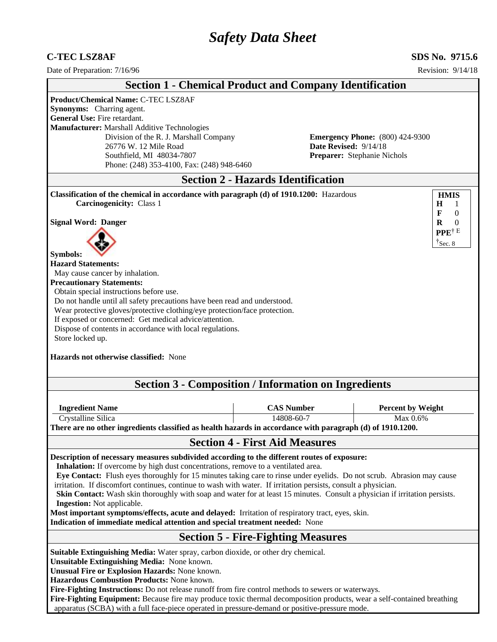# *Safety Data Sheet*

## **C-TEC LSZ8AF SDS No. 9715.6**

| Date of Preparation: 7/16/96                                                                                                                                                                                                                                                                                                                                                                                                                                                                                                                                                                                                                                                                                                                                                         |                                           |                                                      |                                        | Revision: 9/14/18                                                               |
|--------------------------------------------------------------------------------------------------------------------------------------------------------------------------------------------------------------------------------------------------------------------------------------------------------------------------------------------------------------------------------------------------------------------------------------------------------------------------------------------------------------------------------------------------------------------------------------------------------------------------------------------------------------------------------------------------------------------------------------------------------------------------------------|-------------------------------------------|------------------------------------------------------|----------------------------------------|---------------------------------------------------------------------------------|
| <b>Section 1 - Chemical Product and Company Identification</b>                                                                                                                                                                                                                                                                                                                                                                                                                                                                                                                                                                                                                                                                                                                       |                                           |                                                      |                                        |                                                                                 |
| <b>Product/Chemical Name: C-TEC LSZ8AF</b><br>Synonyms: Charring agent.<br><b>General Use: Fire retardant.</b><br>Manufacturer: Marshall Additive Technologies<br>Division of the R. J. Marshall Company<br>26776 W. 12 Mile Road<br>Southfield, MI 48034-7807<br>Phone: (248) 353-4100, Fax: (248) 948-6460                                                                                                                                                                                                                                                                                                                                                                                                                                                                         |                                           | Date Revised: 9/14/18<br>Preparer: Stephanie Nichols | <b>Emergency Phone:</b> (800) 424-9300 |                                                                                 |
|                                                                                                                                                                                                                                                                                                                                                                                                                                                                                                                                                                                                                                                                                                                                                                                      | <b>Section 2 - Hazards Identification</b> |                                                      |                                        |                                                                                 |
| Classification of the chemical in accordance with paragraph (d) of 1910.1200: Hazardous<br><b>Carcinogenicity: Class 1</b>                                                                                                                                                                                                                                                                                                                                                                                                                                                                                                                                                                                                                                                           |                                           |                                                      |                                        | <b>HMIS</b><br>$\bf H$<br>1<br>$\mathbf{F}$<br>$\theta$                         |
| <b>Signal Word: Danger</b><br><b>Symbols:</b><br><b>Hazard Statements:</b><br>May cause cancer by inhalation.<br><b>Precautionary Statements:</b><br>Obtain special instructions before use.<br>Do not handle until all safety precautions have been read and understood.<br>Wear protective gloves/protective clothing/eye protection/face protection.<br>If exposed or concerned: Get medical advice/attention.<br>Dispose of contents in accordance with local regulations.<br>Store locked up.<br>Hazards not otherwise classified: None<br><b>Section 3 - Composition / Information on Ingredients</b>                                                                                                                                                                          |                                           |                                                      |                                        | $\mathbf R$<br>$\overline{0}$<br>PPE <sup>†E</sup><br>$\mathbf{\dot{S}}$ sec. 8 |
| <b>Ingredient Name</b>                                                                                                                                                                                                                                                                                                                                                                                                                                                                                                                                                                                                                                                                                                                                                               | <b>CAS Number</b><br>14808-60-7           |                                                      | <b>Percent by Weight</b><br>Max 0.6%   |                                                                                 |
| Crystalline Silica<br>There are no other ingredients classified as health hazards in accordance with paragraph (d) of 1910.1200.                                                                                                                                                                                                                                                                                                                                                                                                                                                                                                                                                                                                                                                     |                                           |                                                      |                                        |                                                                                 |
|                                                                                                                                                                                                                                                                                                                                                                                                                                                                                                                                                                                                                                                                                                                                                                                      | <b>Section 4 - First Aid Measures</b>     |                                                      |                                        |                                                                                 |
| Description of necessary measures subdivided according to the different routes of exposure:<br>Inhalation: If overcome by high dust concentrations, remove to a ventilated area.<br>Eye Contact: Flush eyes thoroughly for 15 minutes taking care to rinse under eyelids. Do not scrub. Abrasion may cause<br>irritation. If discomfort continues, continue to wash with water. If irritation persists, consult a physician.<br>Skin Contact: Wash skin thoroughly with soap and water for at least 15 minutes. Consult a physician if irritation persists.<br><b>Ingestion:</b> Not applicable.<br>Most important symptoms/effects, acute and delayed: Irritation of respiratory tract, eyes, skin.<br>Indication of immediate medical attention and special treatment needed: None |                                           |                                                      |                                        |                                                                                 |
|                                                                                                                                                                                                                                                                                                                                                                                                                                                                                                                                                                                                                                                                                                                                                                                      | <b>Section 5 - Fire-Fighting Measures</b> |                                                      |                                        |                                                                                 |
| Suitable Extinguishing Media: Water spray, carbon dioxide, or other dry chemical.<br>Unsuitable Extinguishing Media: None known.<br>Unusual Fire or Explosion Hazards: None known.<br>Hazardous Combustion Products: None known.<br>Fire-Fighting Instructions: Do not release runoff from fire control methods to sewers or waterways.                                                                                                                                                                                                                                                                                                                                                                                                                                              |                                           |                                                      |                                        |                                                                                 |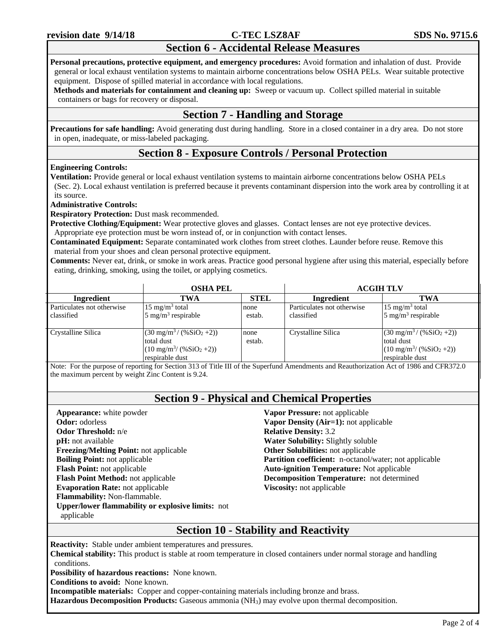## **Section 6 - Accidental Release Measures**

**Personal precautions, protective equipment, and emergency procedures:** Avoid formation and inhalation of dust. Provide general or local exhaust ventilation systems to maintain airborne concentrations below OSHA PELs. Wear suitable protective equipment. Dispose of spilled material in accordance with local regulations.

**Methods and materials for containment and cleaning up:** Sweep or vacuum up. Collect spilled material in suitable containers or bags for recovery or disposal.

## **Section 7 - Handling and Storage**

**Precautions for safe handling:** Avoid generating dust during handling. Store in a closed container in a dry area. Do not store in open, inadequate, or miss-labeled packaging.

## **Section 8 - Exposure Controls / Personal Protection**

### **Engineering Controls:**

**Ventilation:** Provide general or local exhaust ventilation systems to maintain airborne concentrations below OSHA PELs (Sec. 2). Local exhaust ventilation is preferred because it prevents contaminant dispersion into the work area by controlling it at its source.

#### **Administrative Controls:**

**Respiratory Protection:** Dust mask recommended.

**Protective Clothing/Equipment:** Wear protective gloves and glasses. Contact lenses are not eye protective devices. Appropriate eye protection must be worn instead of, or in conjunction with contact lenses.

**Contaminated Equipment:** Separate contaminated work clothes from street clothes. Launder before reuse. Remove this material from your shoes and clean personal protective equipment.

**Comments:** Never eat, drink, or smoke in work areas. Practice good personal hygiene after using this material, especially before eating, drinking, smoking, using the toilet, or applying cosmetics.

|                            | <b>OSHA PEL</b>                                                                                                               |                | <b>ACGIH TLV</b>           |                                                                                                                               |  |
|----------------------------|-------------------------------------------------------------------------------------------------------------------------------|----------------|----------------------------|-------------------------------------------------------------------------------------------------------------------------------|--|
| Ingredient                 | TWA                                                                                                                           | <b>STEL</b>    | Ingredient                 | TWA                                                                                                                           |  |
| Particulates not otherwise | $15 \text{ mg/m}^3$ total                                                                                                     | none           | Particulates not otherwise | $15 \text{ mg/m}^3$ total                                                                                                     |  |
| classified                 | $5 \text{ mg/m}^3$ respirable                                                                                                 | estab.         | classified                 | $5 \text{ mg/m}^3$ respirable                                                                                                 |  |
| Crystalline Silica         | $(30 \text{ mg/m}^3 / (96 \text{SiO}_2 + 2))$<br>total dust<br>$(10 \text{ mg/m}^3/(96 \text{SiO}_2 + 2))$<br>respirable dust | none<br>estab. | Crystalline Silica         | $(30 \text{ mg/m}^3 / (96 \text{SiO}_2 + 2))$<br>total dust<br>$(10 \text{ mg/m}^3/(96 \text{SiO}_2 + 2))$<br>respirable dust |  |

Note: For the purpose of reporting for Section 313 of Title III of the Superfund Amendments and Reauthorization Act of 1986 and CFR372.0 the maximum percent by weight Zinc Content is 9.24.

## **Section 9 - Physical and Chemical Properties**

**Appearance:** white powder **Odor:** odorless **Odor Threshold:** n/e **pH:** not available **Freezing/Melting Point:** not applicable **Boiling Point:** not applicable **Flash Point:** not applicable **Flash Point Method:** not applicable **Evaporation Rate:** not applicable **Flammability:** Non-flammable. **Upper/lower flammability or explosive limits:** not applicable

**Vapor Pressure:** not applicable **Vapor Density (Air=1):** not applicable **Relative Density:** 3.2 **Water Solubility:** Slightly soluble **Other Solubilities:** not applicable **Partition coefficient:** n-octanol/water; not applicable **Auto-ignition Temperature:** Not applicable **Decomposition Temperature:** not determined **Viscosity:** not applicable

## **Section 10 - Stability and Reactivity**

**Reactivity:** Stable under ambient temperatures and pressures.

**Chemical stability:** This product is stable at room temperature in closed containers under normal storage and handling conditions.

**Possibility of hazardous reactions:** None known.

**Conditions to avoid:** None known.

**Incompatible materials:** Copper and copper-containing materials including bronze and brass.

**Hazardous Decomposition Products:** Gaseous ammonia (NH3) may evolve upon thermal decomposition.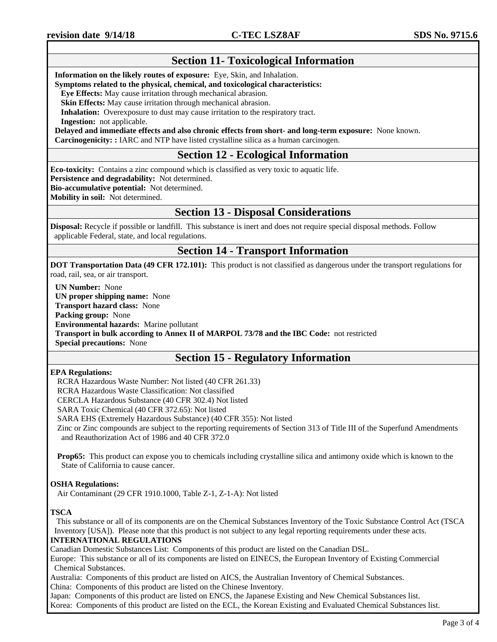## **Section 11- Toxicological Information**

**Information on the likely routes of exposure:** Eye, Skin, and Inhalation.

#### **Symptoms related to the physical, chemical, and toxicological characteristics:**

 **Eye Effects:** May cause irritation through mechanical abrasion.

 **Skin Effects:** May cause irritation through mechanical abrasion.

**Inhalation:** Overexposure to dust may cause irritation to the respiratory tract.

 **Ingestion:** not applicable.

**Delayed and immediate effects and also chronic effects from short- and long-term exposure:** None known.

**Carcinogenicity: :** IARC and NTP have listed crystalline silica as a human carcinogen.

## **Section 12 - Ecological Information**

**Eco-toxicity:** Contains a zinc compound which is classified as very toxic to aquatic life.

**Persistence and degradability:** Not determined.

**Bio-accumulative potential:** Not determined.

**Mobility in soil:** Not determined.

## **Section 13 - Disposal Considerations**

**Disposal:** Recycle if possible or landfill. This substance is inert and does not require special disposal methods. Follow applicable Federal, state, and local regulations.

## **Section 14 - Transport Information**

**DOT Transportation Data (49 CFR 172.101):** This product is not classified as dangerous under the transport regulations for road, rail, sea, or air transport.

**UN Number:** None **UN proper shipping name:** None **Transport hazard class:** None **Packing group:** None **Environmental hazards:** Marine pollutant **Transport in bulk according to Annex II of MARPOL 73/78 and the IBC Code:** not restricted **Special precautions:** None

## **Section 15 - Regulatory Information**

#### **EPA Regulations:**

RCRA Hazardous Waste Number: Not listed (40 CFR 261.33)

RCRA Hazardous Waste Classification: Not classified

CERCLA Hazardous Substance (40 CFR 302.4) Not listed

SARA Toxic Chemical (40 CFR 372.65): Not listed

SARA EHS (Extremely Hazardous Substance) (40 CFR 355): Not listed

Zinc or Zinc compounds are subject to the reporting requirements of Section 313 of Title III of the Superfund Amendments and Reauthorization Act of 1986 and 40 CFR 372.0

**Prop65:** This product can expose you to chemicals including crystalline silica and antimony oxide which is known to the State of California to cause cancer.

### **OSHA Regulations:**

Air Contaminant (29 CFR 1910.1000, Table Z-1, Z-1-A): Not listed

### **TSCA**

This substance or all of its components are on the Chemical Substances Inventory of the Toxic Substance Control Act (TSCA Inventory [USA]). Please note that this product is not subject to any legal reporting requirements under these acts.

## **INTERNATIONAL REGULATIONS**

Canadian Domestic Substances List: Components of this product are listed on the Canadian DSL.

Europe: This substance or all of its components are listed on EINECS, the European Inventory of Existing Commercial Chemical Substances.

Australia: Components of this product are listed on AICS, the Australian Inventory of Chemical Substances.

China: Components of this product are listed on the Chinese Inventory.

Japan: Components of this product are listed on ENCS, the Japanese Existing and New Chemical Substances list.

Korea: Components of this product are listed on the ECL, the Korean Existing and Evaluated Chemical Substances list.